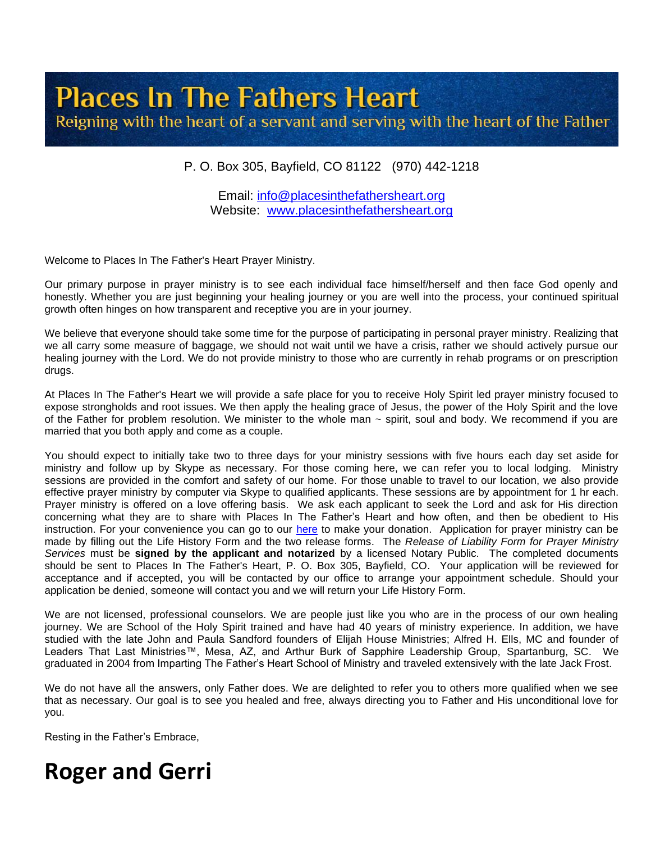# **Places In The Fathers Heart** Reigning with the heart of a servant and serving with the heart of the Father

## P. O. Box 305, Bayfield, CO 81122 (970) 442-1218

Email: [info@placesinthefathersheart.org](mailto:info@placesinthefathersheart.org) Website: [www.placesinthefathersheart.org](http://www.placesinthefathersheart.org/)

Welcome to Places In The Father's Heart Prayer Ministry.

Our primary purpose in prayer ministry is to see each individual face himself/herself and then face God openly and honestly. Whether you are just beginning your healing journey or you are well into the process, your continued spiritual growth often hinges on how transparent and receptive you are in your journey.

We believe that everyone should take some time for the purpose of participating in personal prayer ministry. Realizing that we all carry some measure of baggage, we should not wait until we have a crisis, rather we should actively pursue our healing journey with the Lord. We do not provide ministry to those who are currently in rehab programs or on prescription drugs.

At Places In The Father's Heart we will provide a safe place for you to receive Holy Spirit led prayer ministry focused to expose strongholds and root issues. We then apply the healing grace of Jesus, the power of the Holy Spirit and the love of the Father for problem resolution. We minister to the whole man ~ spirit, soul and body. We recommend if you are married that you both apply and come as a couple.

You should expect to initially take two to three days for your ministry sessions with five hours each day set aside for ministry and follow up by Skype as necessary. For those coming here, we can refer you to local lodging. Ministry sessions are provided in the comfort and safety of our home. For those unable to travel to our location, we also provide effective prayer ministry by computer via Skype to qualified applicants. These sessions are by appointment for 1 hr each. Prayer ministry is offered on a love offering basis. We ask each applicant to seek the Lord and ask for His direction concerning what they are to share with Places In The Father's Heart and how often, and then be obedient to His instruction. For your convenience you can go to our [here](https://placesinthefathersheart.org/donations/) to make your donation. Application for prayer ministry can be made by filling out the Life History Form and the two release forms. The *Release of Liability Form for Prayer Ministry Services* must be **signed by the applicant and notarized** by a licensed Notary Public. The completed documents should be sent to Places In The Father's Heart, P. O. Box 305, Bayfield, CO. Your application will be reviewed for acceptance and if accepted, you will be contacted by our office to arrange your appointment schedule. Should your application be denied, someone will contact you and we will return your Life History Form.

We are not licensed, professional counselors. We are people just like you who are in the process of our own healing journey. We are School of the Holy Spirit trained and have had 40 years of ministry experience. In addition, we have studied with the late John and Paula Sandford founders of Elijah House Ministries; Alfred H. Ells, MC and founder of Leaders That Last Ministries™, Mesa, AZ, and Arthur Burk of Sapphire Leadership Group, Spartanburg, SC. We graduated in 2004 from Imparting The Father's Heart School of Ministry and traveled extensively with the late Jack Frost.

We do not have all the answers, only Father does. We are delighted to refer you to others more qualified when we see that as necessary. Our goal is to see you healed and free, always directing you to Father and His unconditional love for you.

Resting in the Father's Embrace,

# **Roger and Gerri**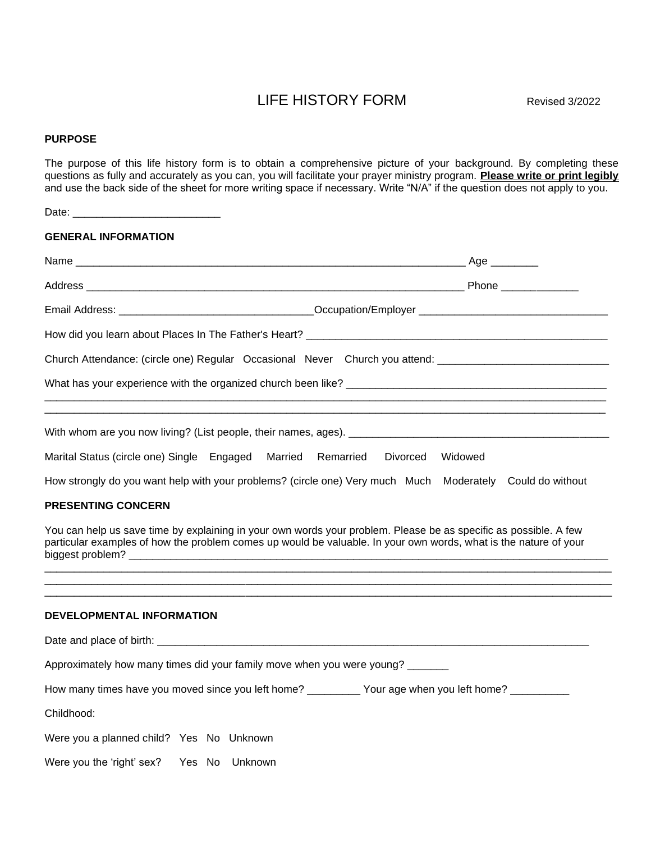## LIFE HISTORY FORM Revised 3/2022

#### **PURPOSE**

The purpose of this life history form is to obtain a comprehensive picture of your background. By completing these questions as fully and accurately as you can, you will facilitate your prayer ministry program. **Please write or print legibly** and use the back side of the sheet for more writing space if necessary. Write "N/A" if the question does not apply to you.

| <b>GENERAL INFORMATION</b>                                                                                                                                                                                                                                        |                     |
|-------------------------------------------------------------------------------------------------------------------------------------------------------------------------------------------------------------------------------------------------------------------|---------------------|
|                                                                                                                                                                                                                                                                   |                     |
|                                                                                                                                                                                                                                                                   |                     |
|                                                                                                                                                                                                                                                                   |                     |
|                                                                                                                                                                                                                                                                   |                     |
| Church Attendance: (circle one) Regular Occasional Never Church you attend: ________________________                                                                                                                                                              |                     |
|                                                                                                                                                                                                                                                                   |                     |
| Marital Status (circle one) Single Engaged Married Remarried<br>How strongly do you want help with your problems? (circle one) Very much Much Moderately Could do without                                                                                         | Divorced<br>Widowed |
| <b>PRESENTING CONCERN</b><br>You can help us save time by explaining in your own words your problem. Please be as specific as possible. A few<br>particular examples of how the problem comes up would be valuable. In your own words, what is the nature of your |                     |
| DEVELOPMENTAL INFORMATION                                                                                                                                                                                                                                         |                     |
|                                                                                                                                                                                                                                                                   |                     |
| Approximately how many times did your family move when you were young?                                                                                                                                                                                            |                     |
| How many times have you moved since you left home? _________ Your age when you left home? _________                                                                                                                                                               |                     |
| Childhood:                                                                                                                                                                                                                                                        |                     |
| Were you a planned child? Yes No Unknown                                                                                                                                                                                                                          |                     |
| Were you the 'right' sex?<br>Yes No<br>Unknown                                                                                                                                                                                                                    |                     |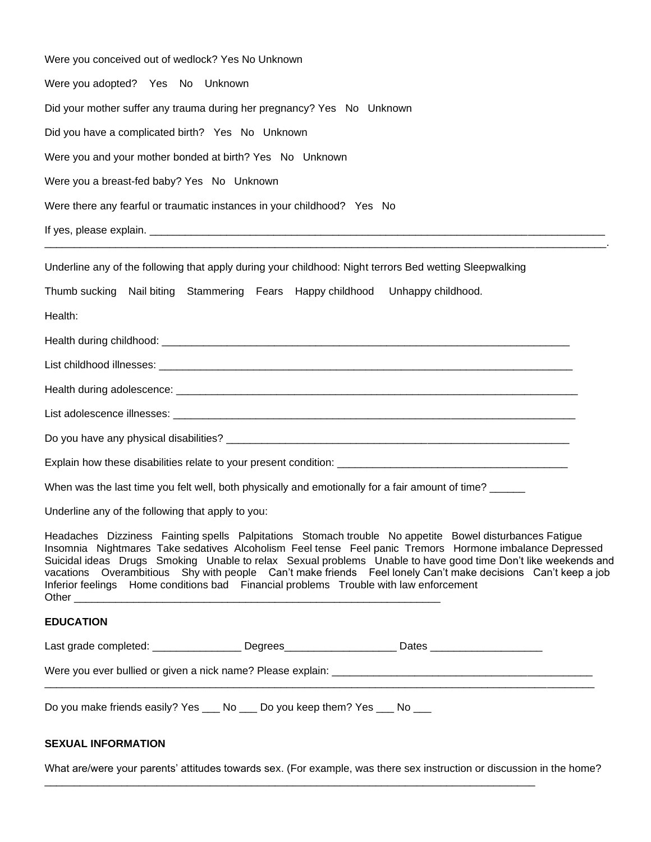| Were you conceived out of wedlock? Yes No Unknown                                                                                                                                                                                                                                                                                                                                                                                                                                                                                            |
|----------------------------------------------------------------------------------------------------------------------------------------------------------------------------------------------------------------------------------------------------------------------------------------------------------------------------------------------------------------------------------------------------------------------------------------------------------------------------------------------------------------------------------------------|
| Were you adopted? Yes No Unknown                                                                                                                                                                                                                                                                                                                                                                                                                                                                                                             |
| Did your mother suffer any trauma during her pregnancy? Yes No Unknown                                                                                                                                                                                                                                                                                                                                                                                                                                                                       |
| Did you have a complicated birth? Yes No Unknown                                                                                                                                                                                                                                                                                                                                                                                                                                                                                             |
| Were you and your mother bonded at birth? Yes No Unknown                                                                                                                                                                                                                                                                                                                                                                                                                                                                                     |
| Were you a breast-fed baby? Yes No Unknown                                                                                                                                                                                                                                                                                                                                                                                                                                                                                                   |
| Were there any fearful or traumatic instances in your childhood? Yes No                                                                                                                                                                                                                                                                                                                                                                                                                                                                      |
|                                                                                                                                                                                                                                                                                                                                                                                                                                                                                                                                              |
| Underline any of the following that apply during your childhood: Night terrors Bed wetting Sleepwalking                                                                                                                                                                                                                                                                                                                                                                                                                                      |
| Thumb sucking Nail biting Stammering Fears Happy childhood Unhappy childhood.                                                                                                                                                                                                                                                                                                                                                                                                                                                                |
| Health:                                                                                                                                                                                                                                                                                                                                                                                                                                                                                                                                      |
|                                                                                                                                                                                                                                                                                                                                                                                                                                                                                                                                              |
|                                                                                                                                                                                                                                                                                                                                                                                                                                                                                                                                              |
|                                                                                                                                                                                                                                                                                                                                                                                                                                                                                                                                              |
|                                                                                                                                                                                                                                                                                                                                                                                                                                                                                                                                              |
|                                                                                                                                                                                                                                                                                                                                                                                                                                                                                                                                              |
|                                                                                                                                                                                                                                                                                                                                                                                                                                                                                                                                              |
| When was the last time you felt well, both physically and emotionally for a fair amount of time?                                                                                                                                                                                                                                                                                                                                                                                                                                             |
| Underline any of the following that apply to you:                                                                                                                                                                                                                                                                                                                                                                                                                                                                                            |
| Headaches Dizziness Fainting spells Palpitations Stomach trouble No appetite Bowel disturbances Fatigue<br>Insomnia Nightmares Take sedatives Alcoholism Feel tense Feel panic Tremors Hormone imbalance Depressed<br>Suicidal ideas Drugs Smoking Unable to relax Sexual problems Unable to have good time Don't like weekends and<br>vacations Overambitious Shy with people Can't make friends Feel lonely Can't make decisions Can't keep a job<br>Inferior feelings Home conditions bad Financial problems Trouble with law enforcement |
| <b>EDUCATION</b>                                                                                                                                                                                                                                                                                                                                                                                                                                                                                                                             |
| Last grade completed: ___________________Degrees________________________Dates ______________________                                                                                                                                                                                                                                                                                                                                                                                                                                         |
|                                                                                                                                                                                                                                                                                                                                                                                                                                                                                                                                              |
| Do you make friends easily? Yes ___ No ___ Do you keep them? Yes ___ No ___<br><b>SEXUAL INFORMATION</b>                                                                                                                                                                                                                                                                                                                                                                                                                                     |

What are/were your parents' attitudes towards sex. (For example, was there sex instruction or discussion in the home?

\_\_\_\_\_\_\_\_\_\_\_\_\_\_\_\_\_\_\_\_\_\_\_\_\_\_\_\_\_\_\_\_\_\_\_\_\_\_\_\_\_\_\_\_\_\_\_\_\_\_\_\_\_\_\_\_\_\_\_\_\_\_\_\_\_\_\_\_\_\_\_\_\_\_\_\_\_\_\_\_\_\_\_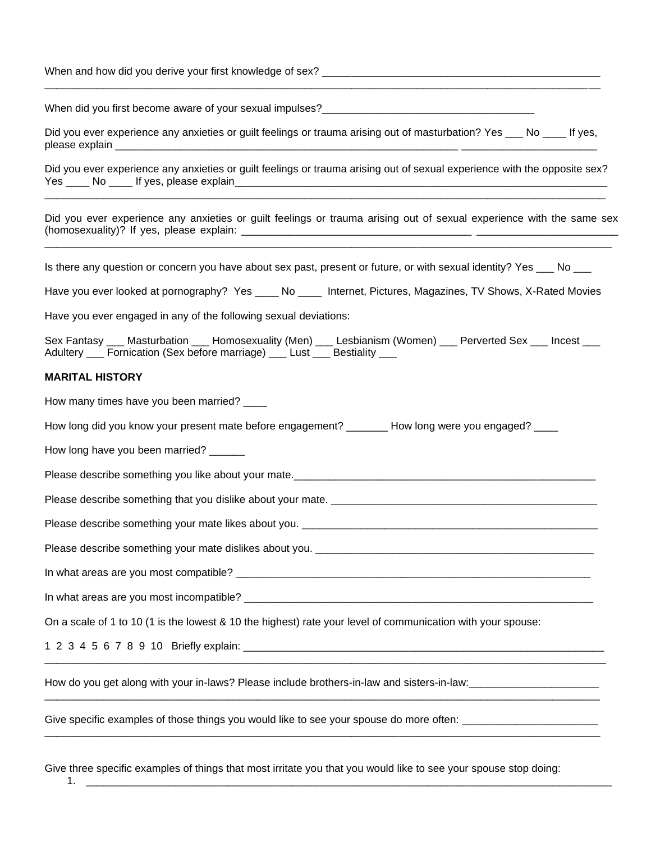When and how did you derive your first knowledge of sex? \_\_\_\_\_\_\_\_\_\_\_\_\_\_\_\_\_\_\_\_\_\_\_\_\_\_\_\_\_\_\_\_\_\_\_\_\_\_\_\_\_\_\_\_\_\_\_\_\_\_\_\_\_\_\_\_\_\_\_\_\_\_\_\_\_\_\_\_\_\_\_\_\_\_\_\_\_\_\_\_\_\_\_\_\_\_\_\_\_\_\_\_\_\_ When did you first become aware of your sexual impulses? Did you ever experience any anxieties or guilt feelings or trauma arising out of masturbation? Yes No If yes, please explain Did you ever experience any anxieties or guilt feelings or trauma arising out of sexual experience with the opposite sex? Yes \_\_\_\_\_\_ No \_\_\_\_\_\_ If yes, please explain\_\_ \_\_\_\_\_\_\_\_\_\_\_\_\_\_\_\_\_\_\_\_\_\_\_\_\_\_\_\_\_\_\_\_\_\_\_\_\_\_\_\_\_\_\_\_\_\_\_\_\_\_\_\_\_\_\_\_\_\_\_\_\_\_\_\_\_\_\_\_\_\_\_\_\_\_\_\_\_\_\_\_\_\_\_\_\_\_\_\_\_\_\_\_\_\_\_ Did you ever experience any anxieties or guilt feelings or trauma arising out of sexual experience with the same sex (homosexuality)? If yes, please explain: \_\_\_\_\_\_\_\_\_\_\_\_\_\_\_\_\_\_\_\_\_\_\_\_\_\_\_\_\_\_\_\_\_\_\_\_\_\_\_\_\_\_\_\_\_\_\_\_\_\_\_\_\_\_\_\_\_\_\_\_\_\_\_\_\_\_\_\_\_\_\_\_\_\_\_\_\_\_\_\_\_\_\_\_\_\_\_\_\_\_\_\_\_\_\_\_ Is there any question or concern you have about sex past, present or future, or with sexual identity? Yes \_\_\_ No \_\_\_ Have you ever looked at pornography? Yes No Liternet, Pictures, Magazines, TV Shows, X-Rated Movies Have you ever engaged in any of the following sexual deviations: Sex Fantasy \_\_\_ Masturbation \_\_\_ Homosexuality (Men) \_\_\_ Lesbianism (Women) \_\_\_ Perverted Sex \_\_\_ Incest \_\_\_ Adultery \_\_\_ Fornication (Sex before marriage) \_\_\_ Lust \_\_\_ Bestiality \_\_\_ **MARITAL HISTORY**  How many times have you been married? \_\_\_\_ How long did you know your present mate before engagement? How long were you engaged? How long have you been married? \_\_\_\_\_\_ Please describe something you like about your mate. Please describe something that you dislike about your mate. Please describe something your mate likes about you. Please describe something your mate dislikes about you. \_\_\_\_\_\_\_\_\_\_\_\_\_\_\_\_\_\_\_\_\_\_\_\_\_ In what areas are you most compatible? \_\_\_\_\_\_\_\_\_\_\_\_\_\_\_\_\_\_\_\_\_\_\_\_\_\_\_\_\_\_\_\_\_\_\_\_\_\_\_\_\_\_\_\_\_\_\_\_\_\_\_\_\_\_\_\_\_\_\_\_ In what areas are you most incompatible? \_\_\_\_\_\_\_\_\_\_\_\_\_\_\_\_\_\_\_\_\_\_\_\_\_\_\_\_\_\_\_\_\_\_\_\_\_\_\_\_\_\_\_\_\_\_\_\_\_\_\_\_\_\_\_\_\_\_\_ On a scale of 1 to 10 (1 is the lowest & 10 the highest) rate your level of communication with your spouse: 1 2 3 4 5 6 7 8 9 10 Briefly explain: \_\_\_\_\_\_\_\_\_\_\_\_\_\_\_\_\_\_\_\_\_\_\_\_\_\_\_\_\_\_\_\_\_\_\_\_\_\_\_\_\_\_\_\_\_\_\_\_\_\_\_\_\_\_\_\_\_\_\_\_\_ \_\_\_\_\_\_\_\_\_\_\_\_\_\_\_\_\_\_\_\_\_\_\_\_\_\_\_\_\_\_\_\_\_\_\_\_\_\_\_\_\_\_\_\_\_\_\_\_\_\_\_\_\_\_\_\_\_\_\_\_\_\_\_\_\_\_\_\_\_\_\_\_\_\_\_\_\_\_\_\_\_\_\_\_\_\_\_\_\_\_\_\_\_\_\_ How do you get along with your in-laws? Please include brothers-in-law and sisters-in-law: \_\_\_\_\_\_\_\_\_\_\_\_\_\_\_\_\_\_\_\_\_\_\_\_\_\_\_\_\_\_\_\_\_\_\_\_\_\_\_\_\_\_\_\_\_\_\_\_\_\_\_\_\_\_\_\_\_\_\_\_\_\_\_\_\_\_\_\_\_\_\_\_\_\_\_\_\_\_\_\_\_\_\_\_\_\_\_\_\_\_\_\_\_\_

Give specific examples of those things you would like to see your spouse do more often: \_\_\_\_\_\_\_\_\_\_\_\_\_\_\_\_\_\_\_\_\_\_

Give three specific examples of things that most irritate you that you would like to see your spouse stop doing: 1. \_\_\_\_\_\_\_\_\_\_\_\_\_\_\_\_\_\_\_\_\_\_\_\_\_\_\_\_\_\_\_\_\_\_\_\_\_\_\_\_\_\_\_\_\_\_\_\_\_\_\_\_\_\_\_\_\_\_\_\_\_\_\_\_\_\_\_\_\_\_\_\_\_\_\_\_\_\_\_\_\_\_\_\_\_\_\_\_\_

\_\_\_\_\_\_\_\_\_\_\_\_\_\_\_\_\_\_\_\_\_\_\_\_\_\_\_\_\_\_\_\_\_\_\_\_\_\_\_\_\_\_\_\_\_\_\_\_\_\_\_\_\_\_\_\_\_\_\_\_\_\_\_\_\_\_\_\_\_\_\_\_\_\_\_\_\_\_\_\_\_\_\_\_\_\_\_\_\_\_\_\_\_\_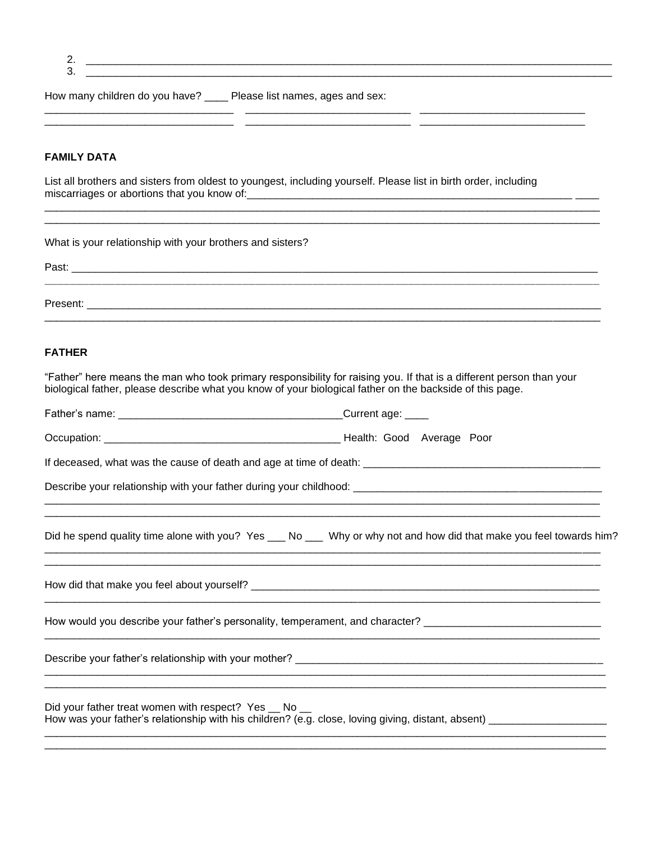| a.<br>I<br>٢<br>I<br>٠ |  |
|------------------------|--|
|                        |  |

 $3.$ 

How many children do you have? \_\_\_\_ Please list names, ages and sex:

<u> 1999 - Jan James James James James James James James James James James James James James James James James J</u>

## **FAMILY DATA**

List all brothers and sisters from oldest to youngest, including yourself. Please list in birth order, including 

| What is your relationship with your brothers and sisters?                                                                                                                                                                        |                                                                                                                     |
|----------------------------------------------------------------------------------------------------------------------------------------------------------------------------------------------------------------------------------|---------------------------------------------------------------------------------------------------------------------|
|                                                                                                                                                                                                                                  |                                                                                                                     |
| <b>FATHER</b>                                                                                                                                                                                                                    |                                                                                                                     |
| "Father" here means the man who took primary responsibility for raising you. If that is a different person than your<br>biological father, please describe what you know of your biological father on the backside of this page. |                                                                                                                     |
|                                                                                                                                                                                                                                  |                                                                                                                     |
|                                                                                                                                                                                                                                  |                                                                                                                     |
|                                                                                                                                                                                                                                  |                                                                                                                     |
|                                                                                                                                                                                                                                  |                                                                                                                     |
|                                                                                                                                                                                                                                  | Did he spend quality time alone with you? Yes ___ No ___ Why or why not and how did that make you feel towards him? |
|                                                                                                                                                                                                                                  |                                                                                                                     |
| How would you describe your father's personality, temperament, and character? ________________________________                                                                                                                   |                                                                                                                     |
|                                                                                                                                                                                                                                  |                                                                                                                     |
| Did your father treat women with respect? Yes __ No __<br>How was your father's relationship with his children? (e.g. close, loving giving, distant, absent) ___________                                                         |                                                                                                                     |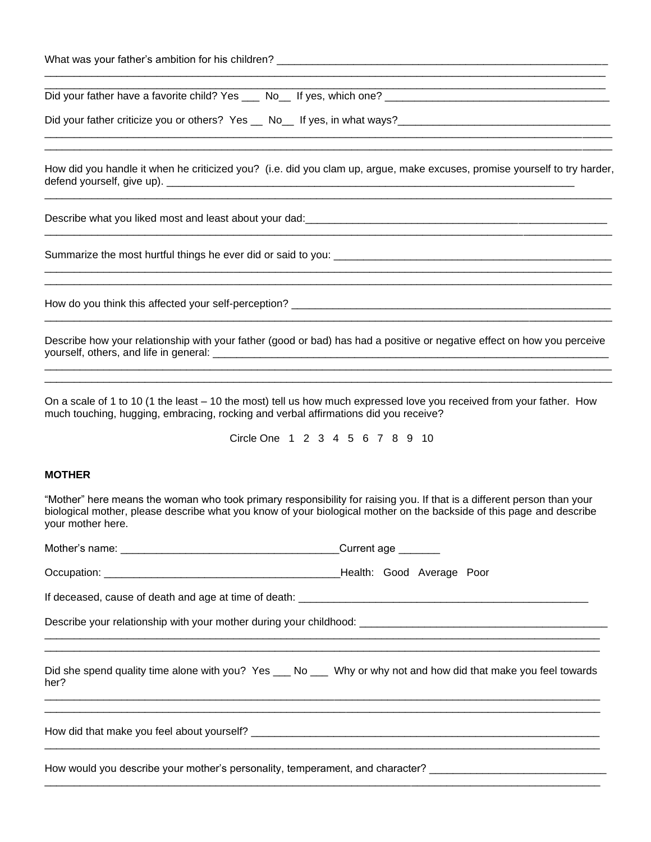| What was your father's ambition for his children? |  |
|---------------------------------------------------|--|
|---------------------------------------------------|--|

Did your father have a favorite child? Yes \_\_\_ No\_\_ If yes, which one? \_\_\_\_\_\_\_\_\_\_\_\_\_\_\_\_\_\_\_\_\_\_\_\_\_\_\_\_\_\_\_\_\_\_\_\_\_\_

Did your father criticize you or others? Yes \_\_ No\_\_ If yes, in what ways?\_\_\_\_\_\_\_\_\_\_\_\_\_\_\_\_\_\_\_\_\_\_\_\_\_\_\_\_\_\_\_\_\_\_\_\_

How did you handle it when he criticized you? (i.e. did you clam up, argue, make excuses, promise yourself to try harder, defend yourself, give up). \_\_\_\_\_\_\_\_\_\_\_\_\_\_\_\_\_\_\_\_\_\_\_\_\_\_\_\_\_\_\_\_\_\_\_\_\_\_\_\_\_\_\_\_\_\_\_\_\_\_\_\_\_\_\_\_\_\_\_\_\_\_\_\_\_\_\_\_\_

\_\_\_\_\_\_\_\_\_\_\_\_\_\_\_\_\_\_\_\_\_\_\_\_\_\_\_\_\_\_\_\_\_\_\_\_\_\_\_\_\_\_\_\_\_\_\_\_\_\_\_\_\_\_\_\_\_\_\_\_\_\_\_\_\_\_\_\_\_\_\_\_\_\_\_\_\_\_\_\_\_\_\_\_\_\_\_\_\_\_\_\_\_\_\_\_

\_\_\_\_\_\_\_\_\_\_\_\_\_\_\_\_\_\_\_\_\_\_\_\_\_\_\_\_\_\_\_\_\_\_\_\_\_\_\_\_\_\_\_\_\_\_\_\_\_\_\_\_\_\_\_\_\_\_\_\_\_\_\_\_\_\_\_\_\_\_\_\_\_\_\_\_\_\_\_\_\_\_\_\_\_\_\_\_\_\_\_\_\_\_\_\_

\_\_\_\_\_\_\_\_\_\_\_\_\_\_\_\_\_\_\_\_\_\_\_\_\_\_\_\_\_\_\_\_\_\_\_\_\_\_\_\_\_\_\_\_\_\_\_\_\_\_\_\_\_\_\_\_\_\_\_\_\_\_\_\_\_\_\_\_\_\_\_\_\_\_\_\_\_\_\_\_\_\_\_\_\_\_\_\_\_\_\_\_\_\_\_\_

\_\_\_\_\_\_\_\_\_\_\_\_\_\_\_\_\_\_\_\_\_\_\_\_\_\_\_\_\_\_\_\_\_\_\_\_\_\_\_\_\_\_\_\_\_\_\_\_\_\_\_\_\_\_\_\_\_\_\_\_\_\_\_\_\_\_\_\_\_\_\_\_\_\_\_\_\_\_\_\_\_\_\_\_\_\_\_\_\_\_\_\_\_\_\_\_ \_\_\_\_\_\_\_\_\_\_\_\_\_\_\_\_\_\_\_\_\_\_\_\_\_\_\_\_\_\_\_\_\_\_\_\_\_\_\_\_\_\_\_\_\_\_\_\_\_\_\_\_\_\_\_\_\_\_\_\_\_\_\_\_\_\_\_\_\_\_\_\_\_\_\_\_\_\_\_\_\_\_\_\_\_\_\_\_\_\_\_\_\_\_\_\_

\_\_\_\_\_\_\_\_\_\_\_\_\_\_\_\_\_\_\_\_\_\_\_\_\_\_\_\_\_\_\_\_\_\_\_\_\_\_\_\_\_\_\_\_\_\_\_\_\_\_\_\_\_\_\_\_\_\_\_\_\_\_\_\_\_\_\_\_\_\_\_\_\_\_\_\_\_\_\_\_\_\_\_\_\_\_\_\_\_\_\_\_\_\_\_ \_\_\_\_\_\_\_\_\_\_\_\_\_\_\_\_\_\_\_\_\_\_\_\_\_\_\_\_\_\_\_\_\_\_\_\_\_\_\_\_\_\_\_\_\_\_\_\_\_\_\_\_\_\_\_\_\_\_\_\_\_\_\_\_\_\_\_\_\_\_\_\_\_\_\_\_\_\_\_\_\_\_\_\_\_\_\_\_\_\_\_\_\_\_\_

Describe what you liked most and least about your dad: \_\_\_\_\_\_\_\_\_\_\_\_\_\_\_\_\_\_\_\_\_\_\_\_\_\_

Summarize the most hurtful things he ever did or said to you:

How do you think this affected your self-perception? \_\_\_\_\_\_\_\_\_\_\_\_\_\_\_\_\_\_\_\_\_\_\_\_\_\_\_\_\_\_\_\_\_\_\_\_\_\_\_\_\_\_\_\_\_\_\_\_\_\_\_\_\_\_

Describe how your relationship with your father (good or bad) has had a positive or negative effect on how you perceive yourself, others, and life in general: \_\_\_\_\_\_\_\_\_\_\_\_\_\_\_\_\_\_\_\_\_\_\_\_\_\_\_\_\_\_\_\_\_\_\_\_\_\_\_\_\_\_\_\_\_\_\_\_\_\_\_\_\_\_\_\_\_\_\_\_\_\_\_\_\_\_\_  $\Box$ 

\_\_\_\_\_\_\_\_\_\_\_\_\_\_\_\_\_\_\_\_\_\_\_\_\_\_\_\_\_\_\_\_\_\_\_\_\_\_\_\_\_\_\_\_\_\_\_\_\_\_\_\_\_\_\_\_\_\_\_\_\_\_\_\_\_\_\_\_\_\_\_\_\_\_\_\_\_\_\_\_\_\_\_\_\_\_\_\_\_\_\_\_\_\_\_\_

On a scale of 1 to 10 (1 the least – 10 the most) tell us how much expressed love you received from your father. How much touching, hugging, embracing, rocking and verbal affirmations did you receive?

Circle One 1 2 3 4 5 6 7 8 9 10

#### **MOTHER**

"Mother" here means the woman who took primary responsibility for raising you. If that is a different person than your biological mother, please describe what you know of your biological mother on the backside of this page and describe your mother here.

|                                                                                                                         | Current age _______ |
|-------------------------------------------------------------------------------------------------------------------------|---------------------|
|                                                                                                                         |                     |
|                                                                                                                         |                     |
|                                                                                                                         |                     |
| Did she spend quality time alone with you? Yes ___ No ___ Why or why not and how did that make you feel towards<br>her? |                     |
|                                                                                                                         |                     |
| How would you describe your mother's personality, temperament, and character? _______________________________           |                     |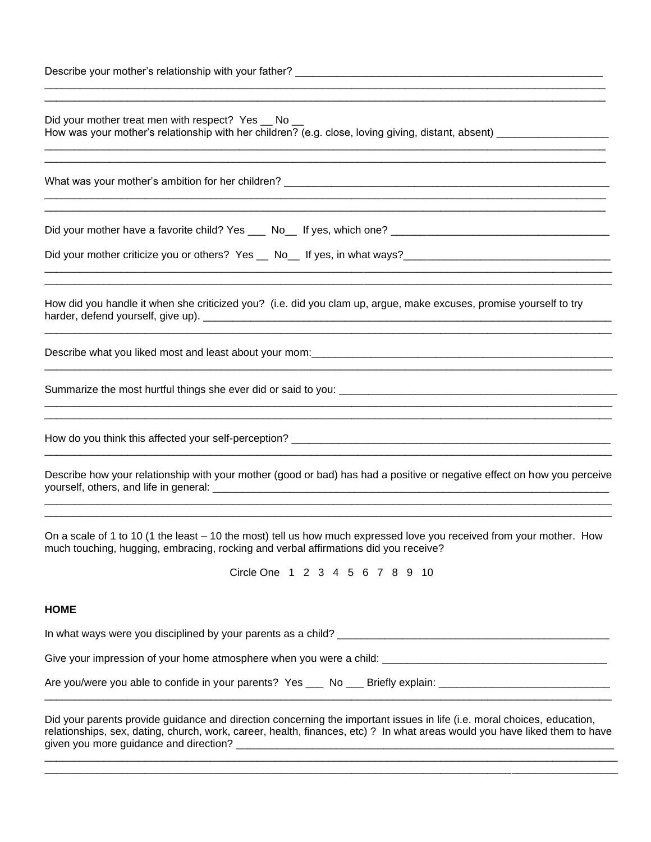| Describe your mother's relationship with your father? |  |
|-------------------------------------------------------|--|
|                                                       |  |

| Did your mother treat men with respect? Yes _ No _<br>How was your mother's relationship with her children? (e.g. close, loving giving, distant, absent) _________________                                  |
|-------------------------------------------------------------------------------------------------------------------------------------------------------------------------------------------------------------|
|                                                                                                                                                                                                             |
|                                                                                                                                                                                                             |
|                                                                                                                                                                                                             |
| How did you handle it when she criticized you? (i.e. did you clam up, argue, make excuses, promise yourself to try                                                                                          |
|                                                                                                                                                                                                             |
|                                                                                                                                                                                                             |
|                                                                                                                                                                                                             |
| Describe how your relationship with your mother (good or bad) has had a positive or negative effect on how you perceive                                                                                     |
| On a scale of 1 to 10 (1 the least - 10 the most) tell us how much expressed love you received from your mother. How<br>much touching, hugging, embracing, rocking and verbal affirmations did you receive? |
| Circle One 1 2 3 4 5 6 7 8 9 10                                                                                                                                                                             |

\_\_\_\_\_\_\_\_\_\_\_\_\_\_\_\_\_\_\_\_\_\_\_\_\_\_\_\_\_\_\_\_\_\_\_\_\_\_\_\_\_\_\_\_\_\_\_\_\_\_\_\_\_\_\_\_\_\_\_\_\_\_\_\_\_\_\_\_\_\_\_\_\_\_\_\_\_\_\_\_\_\_\_\_\_\_\_\_\_\_\_\_\_\_\_

#### **HOME**

In what ways were you disciplined by your parents as a child? \_\_\_\_\_\_\_\_\_\_\_\_\_\_\_\_\_\_\_\_\_\_\_\_\_\_\_\_\_\_\_\_\_\_\_\_\_\_\_\_\_\_\_\_\_\_ Give your impression of your home atmosphere when you were a child: \_\_\_\_\_\_\_\_\_\_\_\_\_\_\_\_\_\_\_\_\_\_\_\_\_\_\_\_\_\_\_\_\_\_\_\_\_\_ Are you/were you able to confide in your parents? Yes \_\_\_ No \_\_\_ Briefly explain: \_\_\_\_\_\_\_\_\_\_\_\_\_\_\_\_\_\_\_\_\_\_\_\_\_\_\_\_ \_\_\_\_\_\_\_\_\_\_\_\_\_\_\_\_\_\_\_\_\_\_\_\_\_\_\_\_\_\_\_\_\_\_\_\_\_\_\_\_\_\_\_\_\_\_\_\_\_\_\_\_\_\_\_\_\_\_\_\_\_\_\_\_\_\_\_\_\_\_\_\_\_\_\_\_\_\_\_\_\_\_\_\_\_\_\_\_\_\_\_\_\_\_\_\_

Did your parents provide guidance and direction concerning the important issues in life (i.e. moral choices, education, relationships, sex, dating, church, work, career, health, finances, etc) ? In what areas would you have liked them to have given you more guidance and direction? \_\_\_\_\_\_\_\_\_\_\_\_\_\_\_\_\_\_\_\_\_\_\_\_\_\_\_\_\_\_\_\_\_\_\_\_\_\_\_\_\_\_\_\_\_\_\_\_\_\_\_\_\_\_\_\_\_\_\_\_\_\_\_\_

\_\_\_\_\_\_\_\_\_\_\_\_\_\_\_\_\_\_\_\_\_\_\_\_\_\_\_\_\_\_\_\_\_\_\_\_\_\_\_\_\_\_\_\_\_\_\_\_\_\_\_\_\_\_\_\_\_\_\_\_\_\_\_\_\_\_\_\_\_\_\_\_\_\_\_\_\_\_\_\_\_\_\_\_\_\_\_\_\_\_\_\_\_\_\_\_\_ \_\_\_\_\_\_\_\_\_\_\_\_\_\_\_\_\_\_\_\_\_\_\_\_\_\_\_\_\_\_\_\_\_\_\_\_\_\_\_\_\_\_\_\_\_\_\_\_\_\_\_\_\_\_\_\_\_\_\_\_\_\_\_\_\_\_\_\_\_\_\_\_\_\_\_\_\_\_\_\_\_\_\_\_\_\_\_\_\_\_\_\_\_\_\_\_\_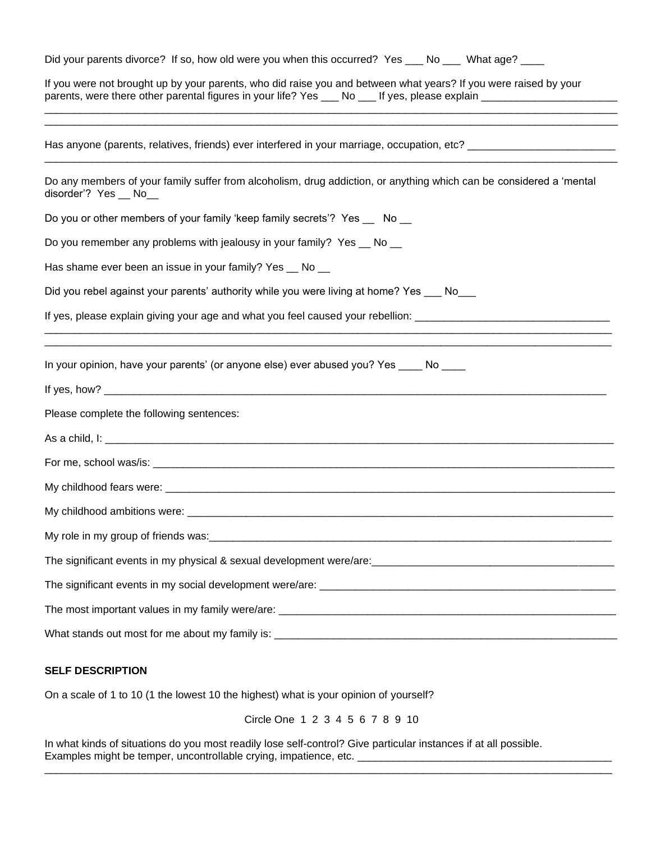| Did your parents divorce? If so, how old were you when this occurred? Yes ___ No ___ What age? ____                                                                                                                                   |
|---------------------------------------------------------------------------------------------------------------------------------------------------------------------------------------------------------------------------------------|
| If you were not brought up by your parents, who did raise you and between what years? If you were raised by your<br>parents, were there other parental figures in your life? Yes ___ No ___ If yes, please explain __________________ |
| Has anyone (parents, relatives, friends) ever interfered in your marriage, occupation, etc? ________________________                                                                                                                  |
| Do any members of your family suffer from alcoholism, drug addiction, or anything which can be considered a 'mental<br>disorder'? Yes __ No__                                                                                         |
| Do you or other members of your family 'keep family secrets'? Yes __ No __                                                                                                                                                            |
| Do you remember any problems with jealousy in your family? Yes _ No _                                                                                                                                                                 |
| Has shame ever been an issue in your family? Yes _ No _                                                                                                                                                                               |
| Did you rebel against your parents' authority while you were living at home? Yes ___ No                                                                                                                                               |
| If yes, please explain giving your age and what you feel caused your rebellion: ______________________________                                                                                                                        |
| In your opinion, have your parents' (or anyone else) ever abused you? Yes ____ No ____                                                                                                                                                |
|                                                                                                                                                                                                                                       |
| Please complete the following sentences:                                                                                                                                                                                              |
|                                                                                                                                                                                                                                       |
|                                                                                                                                                                                                                                       |
|                                                                                                                                                                                                                                       |
|                                                                                                                                                                                                                                       |
|                                                                                                                                                                                                                                       |
|                                                                                                                                                                                                                                       |
|                                                                                                                                                                                                                                       |
|                                                                                                                                                                                                                                       |
|                                                                                                                                                                                                                                       |

#### **SELF DESCRIPTION**

On a scale of 1 to 10 (1 the lowest 10 the highest) what is your opinion of yourself?

Circle One 1 2 3 4 5 6 7 8 9 10

\_\_\_\_\_\_\_\_\_\_\_\_\_\_\_\_\_\_\_\_\_\_\_\_\_\_\_\_\_\_\_\_\_\_\_\_\_\_\_\_\_\_\_\_\_\_\_\_\_\_\_\_\_\_\_\_\_\_\_\_\_\_\_\_\_\_\_\_\_\_\_\_\_\_\_\_\_\_\_\_\_\_\_\_\_\_\_\_\_\_\_\_\_\_\_\_

In what kinds of situations do you most readily lose self-control? Give particular instances if at all possible. Examples might be temper, uncontrollable crying, impatience, etc. \_\_\_\_\_\_\_\_\_\_\_\_\_\_\_\_\_\_\_\_\_\_\_\_\_\_\_\_\_\_\_\_\_\_\_\_\_\_\_\_\_\_\_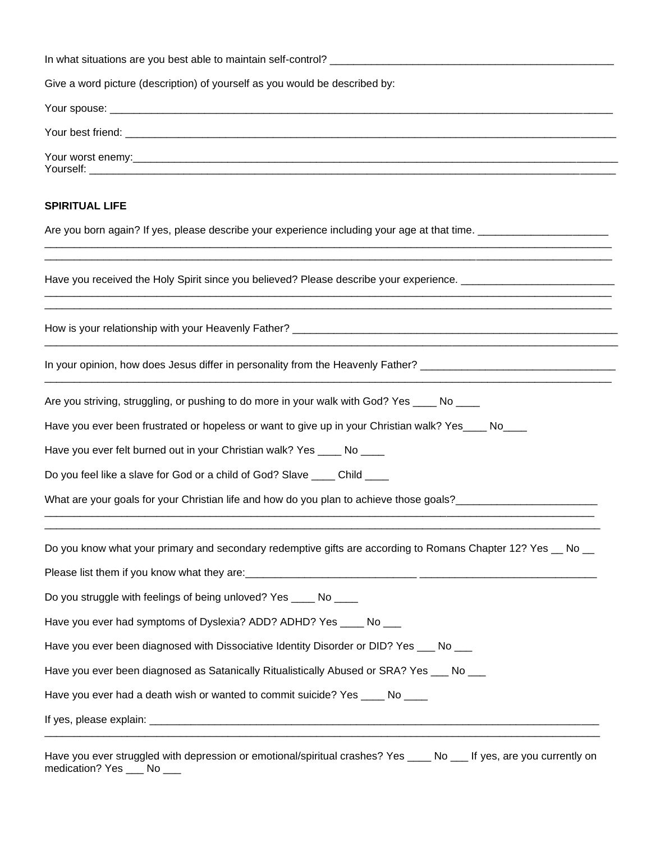| Give a word picture (description) of yourself as you would be described by:                                    |  |
|----------------------------------------------------------------------------------------------------------------|--|
|                                                                                                                |  |
|                                                                                                                |  |
|                                                                                                                |  |
| <b>SPIRITUAL LIFE</b>                                                                                          |  |
| Are you born again? If yes, please describe your experience including your age at that time. _________________ |  |
| Have you received the Holy Spirit since you believed? Please describe your experience. _______________________ |  |
|                                                                                                                |  |
| In your opinion, how does Jesus differ in personality from the Heavenly Father? ______________________________ |  |
| Are you striving, struggling, or pushing to do more in your walk with God? Yes ____ No ____                    |  |
| Have you ever been frustrated or hopeless or want to give up in your Christian walk? Yes____ No___             |  |
| Have you ever felt burned out in your Christian walk? Yes ____ No ____                                         |  |
| Do you feel like a slave for God or a child of God? Slave ____ Child ____                                      |  |
| What are your goals for your Christian life and how do you plan to achieve those goals? ______________________ |  |
| Do you know what your primary and secondary redemptive gifts are according to Romans Chapter 12? Yes __ No __  |  |
|                                                                                                                |  |
| Do you struggle with feelings of being unloved? Yes ____ No ____                                               |  |
| Have you ever had symptoms of Dyslexia? ADD? ADHD? Yes ____ No ___                                             |  |
| Have you ever been diagnosed with Dissociative Identity Disorder or DID? Yes ___ No ___                        |  |
| Have you ever been diagnosed as Satanically Ritualistically Abused or SRA? Yes ___ No ___                      |  |
| Have you ever had a death wish or wanted to commit suicide? Yes ____ No ____                                   |  |
|                                                                                                                |  |
|                                                                                                                |  |

Have you ever struggled with depression or emotional/spiritual crashes? Yes \_\_\_\_ No \_\_\_ If yes, are you currently on medication? Yes \_\_\_ No \_\_\_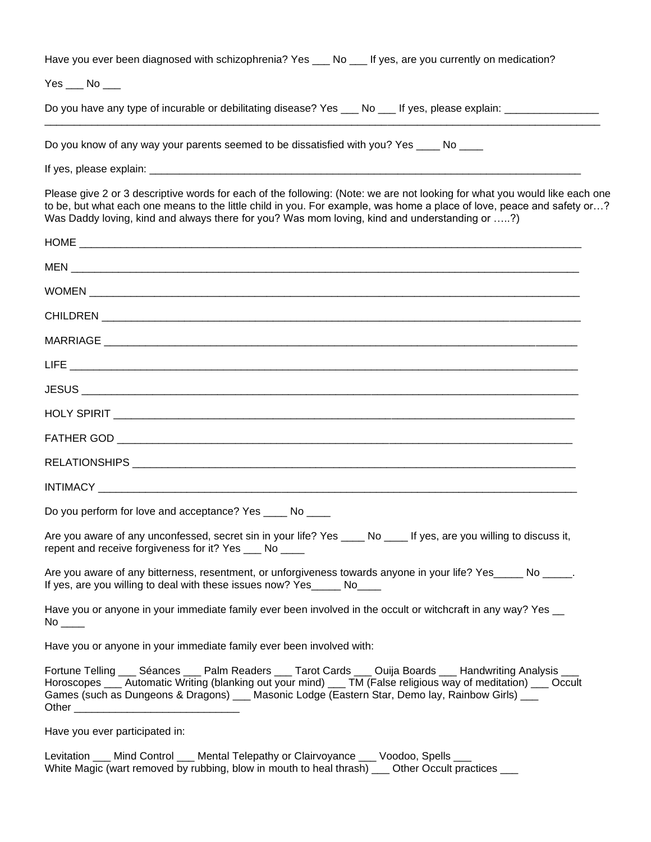Have you ever been diagnosed with schizophrenia? Yes No If yes, are you currently on medication?

Yes No

Do you have any type of incurable or debilitating disease? Yes \_\_\_ No \_\_\_ If yes, please explain: \_\_\_\_\_\_\_\_\_\_\_\_

Do you know of any way your parents seemed to be dissatisfied with you? Yes \_\_\_\_ No \_\_\_\_

If yes, please explain: \_\_\_\_\_\_

Please give 2 or 3 descriptive words for each of the following: (Note: we are not looking for what you would like each one to be, but what each one means to the little child in you. For example, was home a place of love, peace and safety or…? Was Daddy loving, kind and always there for you? Was mom loving, kind and understanding or …..?)

\_\_\_\_\_\_\_\_\_\_\_\_\_\_\_\_\_\_\_\_\_\_\_\_\_\_\_\_\_\_\_\_\_\_\_\_\_\_\_\_\_\_\_\_\_\_\_\_\_\_\_\_\_\_\_\_\_\_\_\_\_\_\_\_\_\_\_\_\_\_\_\_\_\_\_\_\_\_\_\_\_\_\_\_\_\_\_\_\_\_\_\_\_\_

| Do you perform for love and acceptance? Yes _____ No ____                                                                                                                                                                                                                                                                         |
|-----------------------------------------------------------------------------------------------------------------------------------------------------------------------------------------------------------------------------------------------------------------------------------------------------------------------------------|
| Are you aware of any unconfessed, secret sin in your life? Yes ____ No ____ If yes, are you willing to discuss it,<br>repent and receive forgiveness for it? Yes ___ No ____                                                                                                                                                      |
| Are you aware of any bitterness, resentment, or unforgiveness towards anyone in your life? Yes_____ No _____.<br>If yes, are you willing to deal with these issues now? Yes_____ No____                                                                                                                                           |
| Have you or anyone in your immediate family ever been involved in the occult or witchcraft in any way? Yes __                                                                                                                                                                                                                     |
| Have you or anyone in your immediate family ever been involved with:                                                                                                                                                                                                                                                              |
| Fortune Telling ___ Séances ___ Palm Readers ___ Tarot Cards ___ Ouija Boards ___ Handwriting Analysis ___<br>Horoscopes ___ Automatic Writing (blanking out your mind) ___ TM (False religious way of meditation) ___ Occult<br>Games (such as Dungeons & Dragons) ___ Masonic Lodge (Eastern Star, Demo lay, Rainbow Girls) ___ |
| Have you ever participated in:                                                                                                                                                                                                                                                                                                    |

Levitation \_\_\_ Mind Control \_\_\_ Mental Telepathy or Clairvoyance \_\_\_ Voodoo, Spells \_\_\_ White Magic (wart removed by rubbing, blow in mouth to heal thrash) \_\_\_ Other Occult practices \_\_\_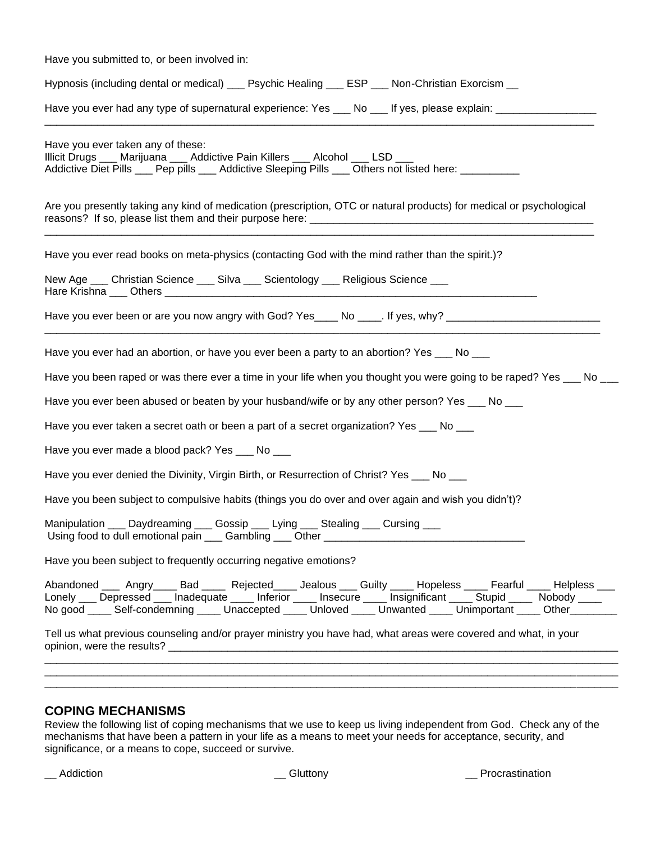| Have you submitted to, or been involved in:                                                                                                                                                                                                                                                                                                                |
|------------------------------------------------------------------------------------------------------------------------------------------------------------------------------------------------------------------------------------------------------------------------------------------------------------------------------------------------------------|
| Hypnosis (including dental or medical) ____ Psychic Healing ____ ESP ____ Non-Christian Exorcism __                                                                                                                                                                                                                                                        |
| Have you ever had any type of supernatural experience: Yes ___ No ___ If yes, please explain: ________________                                                                                                                                                                                                                                             |
| Have you ever taken any of these:<br>Illicit Drugs ___ Marijuana ___ Addictive Pain Killers ___ Alcohol ___ LSD ___<br>Addictive Diet Pills ___ Pep pills ___ Addictive Sleeping Pills ___ Others not listed here: __________                                                                                                                              |
| Are you presently taking any kind of medication (prescription, OTC or natural products) for medical or psychological                                                                                                                                                                                                                                       |
| Have you ever read books on meta-physics (contacting God with the mind rather than the spirit.)?                                                                                                                                                                                                                                                           |
| New Age <sub>___</sub> _ Christian Science ____ Silva ____ Scientology ___ Religious Science ___                                                                                                                                                                                                                                                           |
| Have you ever been or are you now angry with God? Yes____ No ____. If yes, why? ______________________________                                                                                                                                                                                                                                             |
| Have you ever had an abortion, or have you ever been a party to an abortion? Yes ___ No ___                                                                                                                                                                                                                                                                |
| Have you been raped or was there ever a time in your life when you thought you were going to be raped? Yes ___ No __                                                                                                                                                                                                                                       |
| Have you ever been abused or beaten by your husband/wife or by any other person? Yes ___ No ___                                                                                                                                                                                                                                                            |
| Have you ever taken a secret oath or been a part of a secret organization? Yes ___ No ___                                                                                                                                                                                                                                                                  |
| Have you ever made a blood pack? Yes ___ No ___                                                                                                                                                                                                                                                                                                            |
| Have you ever denied the Divinity, Virgin Birth, or Resurrection of Christ? Yes ___ No ___                                                                                                                                                                                                                                                                 |
| Have you been subject to compulsive habits (things you do over and over again and wish you didn't)?                                                                                                                                                                                                                                                        |
| Manipulation<br>Daydreaming<br>Gossip<br>Lying<br>Stealing<br>Cursing                                                                                                                                                                                                                                                                                      |
| Have you been subject to frequently occurring negative emotions?                                                                                                                                                                                                                                                                                           |
| Abandoned ____ Angry_____ Bad _____ Rejected_____ Jealous ___ Guilty _____ Hopeless ____ Fearful ____ Helpless ___<br>Lonely ___ Depressed ___ Inadequate ____ Inferior ____ Insecure ____ Insignificant ____ Stupid ____ Nobody ____<br>No good _____ Self-condemning _____ Unaccepted _____ Unloved _____ Unwanted _____ Unimportant _____ Other________ |
| Tell us what previous counseling and/or prayer ministry you have had, what areas were covered and what, in your                                                                                                                                                                                                                                            |
|                                                                                                                                                                                                                                                                                                                                                            |
|                                                                                                                                                                                                                                                                                                                                                            |

## **COPING MECHANISMS**

Review the following list of coping mechanisms that we use to keep us living independent from God. Check any of the mechanisms that have been a pattern in your life as a means to meet your needs for acceptance, security, and significance, or a means to cope, succeed or survive.

\_\_ Addiction \_\_ Gluttony \_\_ Procrastination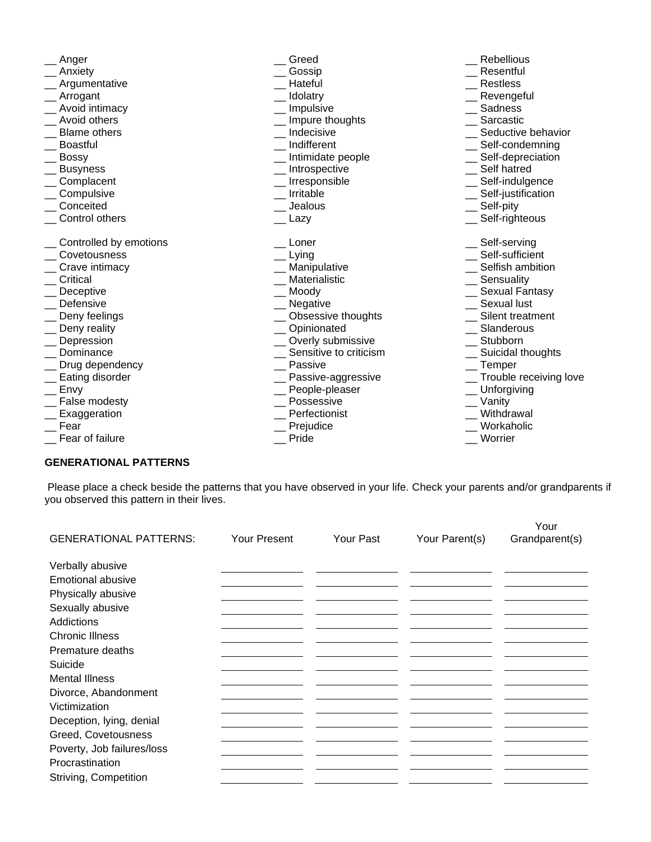| Anger                  | Greed                  | <b>Rebellious</b>      |
|------------------------|------------------------|------------------------|
| Anxiety                | Gossip                 | Resentful              |
| Argumentative          | Hateful                | <b>Restless</b>        |
| Arrogant               | Idolatry               | Revengeful             |
| Avoid intimacy         | Impulsive              | Sadness                |
| Avoid others           | Impure thoughts        | Sarcastic              |
| <b>Blame others</b>    | Indecisive             | Seductive behavior     |
| <b>Boastful</b>        | Indifferent            | Self-condemning        |
| <b>Bossy</b>           | Intimidate people      | Self-depreciation      |
| <b>Busyness</b>        | Introspective          | Self hatred            |
| Complacent             | Irresponsible          | Self-indulgence        |
| Compulsive             | Irritable              | Self-justification     |
| Conceited              | Jealous                | Self-pity              |
| Control others         | Lazy                   | Self-righteous         |
| Controlled by emotions | Loner                  | Self-serving           |
| Covetousness           | Lying                  | Self-sufficient        |
| Crave intimacy         | Manipulative           | Selfish ambition       |
| Critical               | Materialistic          | Sensuality             |
| Deceptive              | Moody                  | Sexual Fantasy         |
| Defensive              | Negative               | Sexual lust            |
| Deny feelings          | Obsessive thoughts     | Silent treatment       |
| Deny reality           | Opinionated            | Slanderous             |
| Depression             | Overly submissive      | Stubborn               |
| Dominance              | Sensitive to criticism | Suicidal thoughts      |
| Drug dependency        | Passive                | Temper                 |
| Eating disorder        | Passive-aggressive     | Trouble receiving love |
| Envy                   | People-pleaser         | Unforgiving            |
| False modesty          | Possessive             | Vanity                 |
| Exaggeration           | Perfectionist          | Withdrawal             |
| Fear                   | Prejudice              | Workaholic             |
| Fear of failure        | Pride                  | Worrier                |

## **GENERATIONAL PATTERNS**

Please place a check beside the patterns that you have observed in your life. Check your parents and/or grandparents if you observed this pattern in their lives.

| <b>GENERATIONAL PATTERNS:</b> | <b>Your Present</b> | Your Past | Your Parent(s) | Your<br>Grandparent(s) |
|-------------------------------|---------------------|-----------|----------------|------------------------|
|                               |                     |           |                |                        |
| Verbally abusive              |                     |           |                |                        |
| <b>Emotional abusive</b>      |                     |           |                |                        |
| Physically abusive            |                     |           |                |                        |
| Sexually abusive              |                     |           |                |                        |
| Addictions                    |                     |           |                |                        |
| <b>Chronic Illness</b>        |                     |           |                |                        |
| Premature deaths              |                     |           |                |                        |
| Suicide                       |                     |           |                |                        |
| <b>Mental Illness</b>         |                     |           |                |                        |
| Divorce, Abandonment          |                     |           |                |                        |
| Victimization                 |                     |           |                |                        |
| Deception, lying, denial      |                     |           |                |                        |
| Greed, Covetousness           |                     |           |                |                        |
| Poverty, Job failures/loss    |                     |           |                |                        |
| Procrastination               |                     |           |                |                        |
| Striving, Competition         |                     |           |                |                        |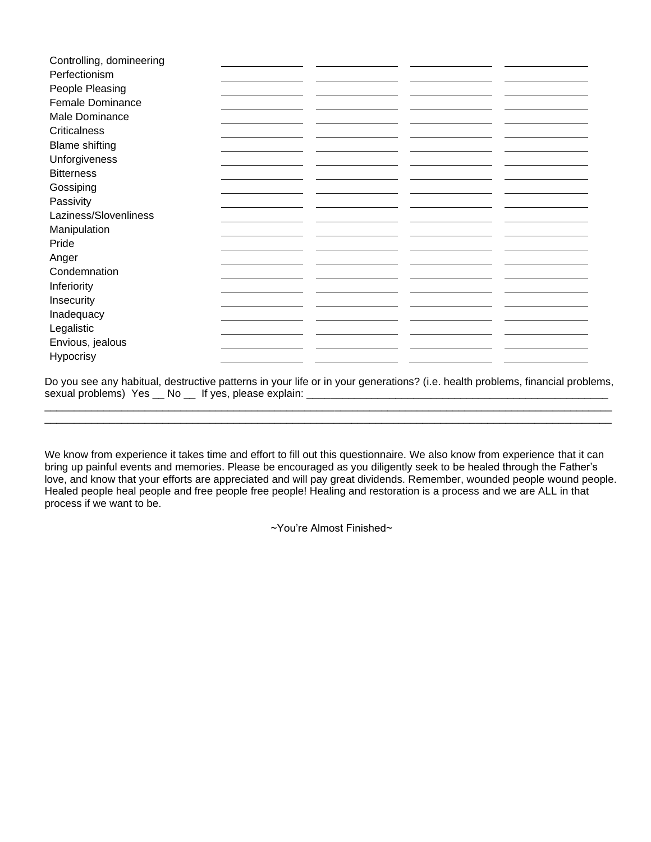| Controlling, domineering |  |  |
|--------------------------|--|--|
| Perfectionism            |  |  |
| People Pleasing          |  |  |
| Female Dominance         |  |  |
| Male Dominance           |  |  |
| <b>Criticalness</b>      |  |  |
| <b>Blame shifting</b>    |  |  |
| Unforgiveness            |  |  |
| <b>Bitterness</b>        |  |  |
| Gossiping                |  |  |
| Passivity                |  |  |
| Laziness/Slovenliness    |  |  |
| Manipulation             |  |  |
| Pride                    |  |  |
| Anger                    |  |  |
| Condemnation             |  |  |
| Inferiority              |  |  |
| Insecurity               |  |  |
| Inadequacy               |  |  |
| Legalistic               |  |  |
| Envious, jealous         |  |  |
| Hypocrisy                |  |  |

Do you see any habitual, destructive patterns in your life or in your generations? (i.e. health problems, financial problems, sexual problems) Yes \_\_ No \_\_ If yes, please explain: \_\_\_\_\_\_\_\_\_\_\_\_\_\_\_\_\_\_\_\_\_\_\_\_\_\_\_\_\_\_\_\_\_\_\_\_\_\_\_\_\_\_\_\_\_\_\_\_\_\_\_

\_\_\_\_\_\_\_\_\_\_\_\_\_\_\_\_\_\_\_\_\_\_\_\_\_\_\_\_\_\_\_\_\_\_\_\_\_\_\_\_\_\_\_\_\_\_\_\_\_\_\_\_\_\_\_\_\_\_\_\_\_\_\_\_\_\_\_\_\_\_\_\_\_\_\_\_\_\_\_\_\_\_\_\_\_\_\_\_\_\_\_\_\_\_\_\_

We know from experience it takes time and effort to fill out this questionnaire. We also know from experience that it can bring up painful events and memories. Please be encouraged as you diligently seek to be healed through the Father's love, and know that your efforts are appreciated and will pay great dividends. Remember, wounded people wound people. Healed people heal people and free people free people! Healing and restoration is a process and we are ALL in that process if we want to be.

~You're Almost Finished~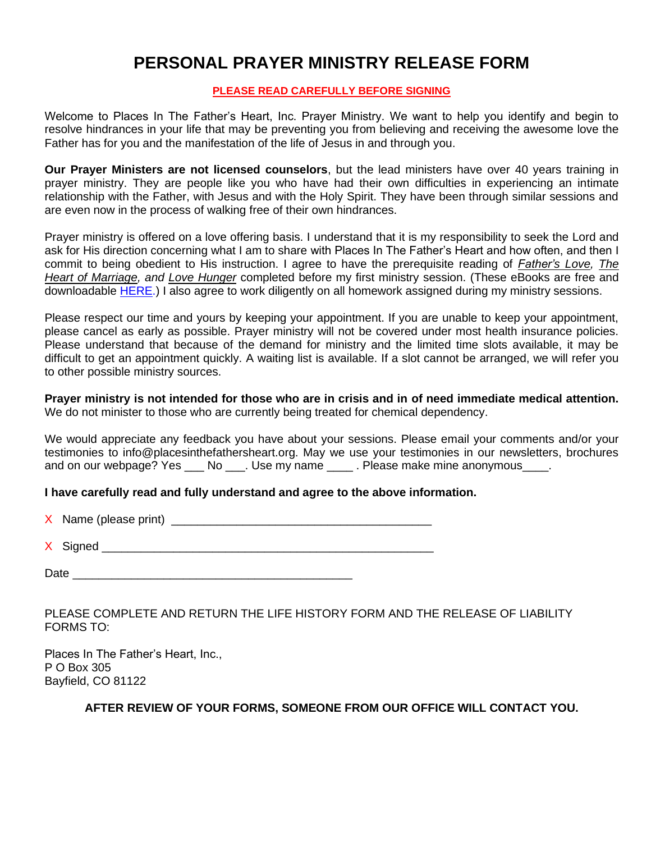## **PERSONAL PRAYER MINISTRY RELEASE FORM**

## **PLEASE READ CAREFULLY BEFORE SIGNING**

Welcome to Places In The Father's Heart, Inc. Prayer Ministry. We want to help you identify and begin to resolve hindrances in your life that may be preventing you from believing and receiving the awesome love the Father has for you and the manifestation of the life of Jesus in and through you.

**Our Prayer Ministers are not licensed counselors**, but the lead ministers have over 40 years training in prayer ministry. They are people like you who have had their own difficulties in experiencing an intimate relationship with the Father, with Jesus and with the Holy Spirit. They have been through similar sessions and are even now in the process of walking free of their own hindrances.

Prayer ministry is offered on a love offering basis. I understand that it is my responsibility to seek the Lord and ask for His direction concerning what I am to share with Places In The Father's Heart and how often, and then I commit to being obedient to His instruction. I agree to have the prerequisite reading of *Father's Love, The Heart of Marriage, and Love Hunger* completed before my first ministry session. (These eBooks are free and downloadable [HERE.](https://placesinthefathersheart.org/ebooks/)) I also agree to work diligently on all homework assigned during my ministry sessions.

Please respect our time and yours by keeping your appointment. If you are unable to keep your appointment, please cancel as early as possible. Prayer ministry will not be covered under most health insurance policies. Please understand that because of the demand for ministry and the limited time slots available, it may be difficult to get an appointment quickly. A waiting list is available. If a slot cannot be arranged, we will refer you to other possible ministry sources.

**Prayer ministry is not intended for those who are in crisis and in of need immediate medical attention.**  We do not minister to those who are currently being treated for chemical dependency.

We would appreciate any feedback you have about your sessions. Please email your comments and/or your testimonies to info@placesinthefathersheart.org. May we use your testimonies in our newsletters, brochures and on our webpage? Yes \_\_\_ No \_\_\_. Use my name \_\_\_\_\_. Please make mine anonymous\_\_\_\_.

## **I have carefully read and fully understand and agree to the above information.**

X Name (please print) \_\_\_\_\_\_\_\_\_\_\_\_\_\_\_\_\_\_\_\_\_\_\_\_\_\_\_\_\_\_\_\_\_\_\_\_\_\_\_\_

 $X$  Signed **Executive Signed** 

Date \_\_\_\_\_\_\_\_\_\_\_\_\_\_\_\_\_\_\_\_\_\_\_\_\_\_\_\_\_\_\_\_\_\_\_\_\_\_\_\_\_\_\_

PLEASE COMPLETE AND RETURN THE LIFE HISTORY FORM AND THE RELEASE OF LIABILITY FORMS TO:

Places In The Father's Heart, Inc., P O Box 305 Bayfield, CO 81122

## **AFTER REVIEW OF YOUR FORMS, SOMEONE FROM OUR OFFICE WILL CONTACT YOU.**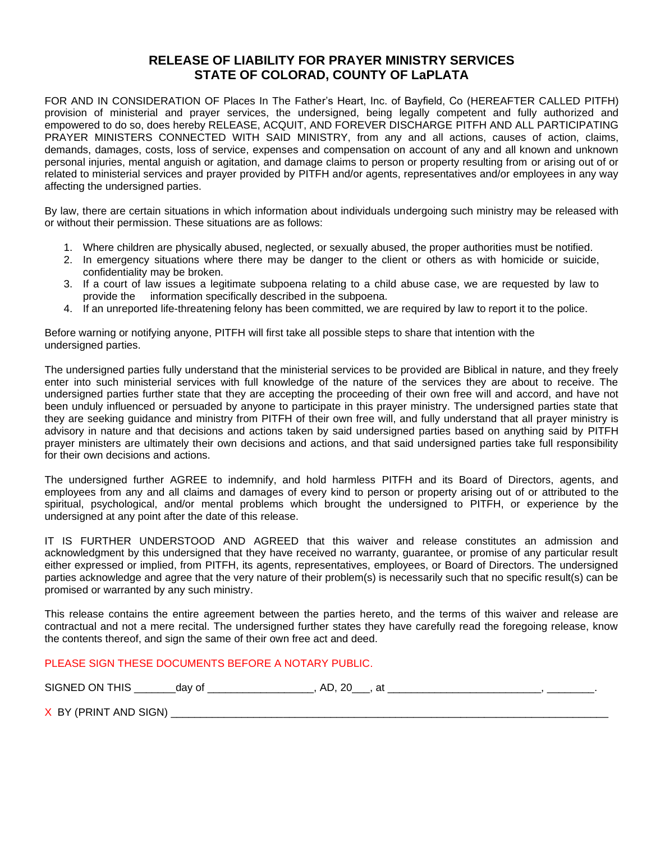## **RELEASE OF LIABILITY FOR PRAYER MINISTRY SERVICES STATE OF COLORAD, COUNTY OF LaPLATA**

FOR AND IN CONSIDERATION OF Places In The Father's Heart, Inc. of Bayfield, Co (HEREAFTER CALLED PITFH) provision of ministerial and prayer services, the undersigned, being legally competent and fully authorized and empowered to do so, does hereby RELEASE, ACQUIT, AND FOREVER DISCHARGE PITFH AND ALL PARTICIPATING PRAYER MINISTERS CONNECTED WITH SAID MINISTRY, from any and all actions, causes of action, claims, demands, damages, costs, loss of service, expenses and compensation on account of any and all known and unknown personal injuries, mental anguish or agitation, and damage claims to person or property resulting from or arising out of or related to ministerial services and prayer provided by PITFH and/or agents, representatives and/or employees in any way affecting the undersigned parties.

By law, there are certain situations in which information about individuals undergoing such ministry may be released with or without their permission. These situations are as follows:

- 1. Where children are physically abused, neglected, or sexually abused, the proper authorities must be notified.
- 2. In emergency situations where there may be danger to the client or others as with homicide or suicide, confidentiality may be broken.
- 3. If a court of law issues a legitimate subpoena relating to a child abuse case, we are requested by law to provide the information specifically described in the subpoena.
- 4. If an unreported life-threatening felony has been committed, we are required by law to report it to the police.

Before warning or notifying anyone, PITFH will first take all possible steps to share that intention with the undersigned parties.

The undersigned parties fully understand that the ministerial services to be provided are Biblical in nature, and they freely enter into such ministerial services with full knowledge of the nature of the services they are about to receive. The undersigned parties further state that they are accepting the proceeding of their own free will and accord, and have not been unduly influenced or persuaded by anyone to participate in this prayer ministry. The undersigned parties state that they are seeking guidance and ministry from PITFH of their own free will, and fully understand that all prayer ministry is advisory in nature and that decisions and actions taken by said undersigned parties based on anything said by PITFH prayer ministers are ultimately their own decisions and actions, and that said undersigned parties take full responsibility for their own decisions and actions.

The undersigned further AGREE to indemnify, and hold harmless PITFH and its Board of Directors, agents, and employees from any and all claims and damages of every kind to person or property arising out of or attributed to the spiritual, psychological, and/or mental problems which brought the undersigned to PITFH, or experience by the undersigned at any point after the date of this release.

IT IS FURTHER UNDERSTOOD AND AGREED that this waiver and release constitutes an admission and acknowledgment by this undersigned that they have received no warranty, guarantee, or promise of any particular result either expressed or implied, from PITFH, its agents, representatives, employees, or Board of Directors. The undersigned parties acknowledge and agree that the very nature of their problem(s) is necessarily such that no specific result(s) can be promised or warranted by any such ministry.

This release contains the entire agreement between the parties hereto, and the terms of this waiver and release are contractual and not a mere recital. The undersigned further states they have carefully read the foregoing release, know the contents thereof, and sign the same of their own free act and deed.

### PLEASE SIGN THESE DOCUMENTS BEFORE A NOTARY PUBLIC.

SIGNED ON THIS \_\_\_\_\_\_\_day of \_\_\_\_\_\_\_\_\_\_\_\_\_\_\_\_\_\_, AD, 20\_\_\_, at \_\_\_\_\_\_\_\_\_\_\_\_\_\_\_\_\_\_\_\_\_\_\_\_\_\_, \_\_\_\_\_\_\_\_.

X BY (PRINT AND SIGN) \_\_\_\_\_\_\_\_\_\_\_\_\_\_\_\_\_\_\_\_\_\_\_\_\_\_\_\_\_\_\_\_\_\_\_\_\_\_\_\_\_\_\_\_\_\_\_\_\_\_\_\_\_\_\_\_\_\_\_\_\_\_\_\_\_\_\_\_\_\_\_\_\_\_